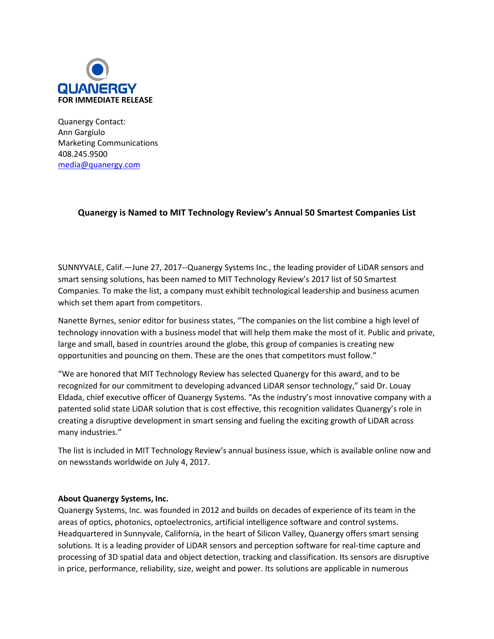

Quanergy Contact: Ann Gargiulo Marketing Communications 408.245.9500 [media@quanergy.com](mailto:media@quanergy.com)

## **Quanergy is Named to MIT Technology Review's Annual 50 Smartest Companies List**

SUNNYVALE, Calif.—June 27, 2017--Quanergy Systems Inc., the leading provider of LiDAR sensors and smart sensing solutions, has been named to MIT Technology Review's 2017 list of 50 Smartest Companies. To make the list, a company must exhibit technological leadership and business acumen which set them apart from competitors.

Nanette Byrnes, senior editor for business states, "The companies on the list combine a high level of technology innovation with a business model that will help them make the most of it. Public and private, large and small, based in countries around the globe, this group of companies is creating new opportunities and pouncing on them. These are the ones that competitors must follow."

"We are honored that MIT Technology Review has selected Quanergy for this award, and to be recognized for our commitment to developing advanced LiDAR sensor technology," said Dr. Louay Eldada, chief executive officer of Quanergy Systems. "As the industry's most innovative company with a patented solid state LiDAR solution that is cost effective, this recognition validates Quanergy's role in creating a disruptive development in smart sensing and fueling the exciting growth of LiDAR across many industries."

The list is included in MIT Technology Review's annual business issue, which is available online now and on newsstands worldwide on July 4, 2017.

## **About Quanergy Systems, Inc.**

Quanergy Systems, Inc. was founded in 2012 and builds on decades of experience of its team in the areas of optics, photonics, optoelectronics, artificial intelligence software and control systems. Headquartered in Sunnyvale, California, in the heart of Silicon Valley, Quanergy offers smart sensing solutions. It is a leading provider of LiDAR sensors and perception software for real-time capture and processing of 3D spatial data and object detection, tracking and classification. Its sensors are disruptive in price, performance, reliability, size, weight and power. Its solutions are applicable in numerous